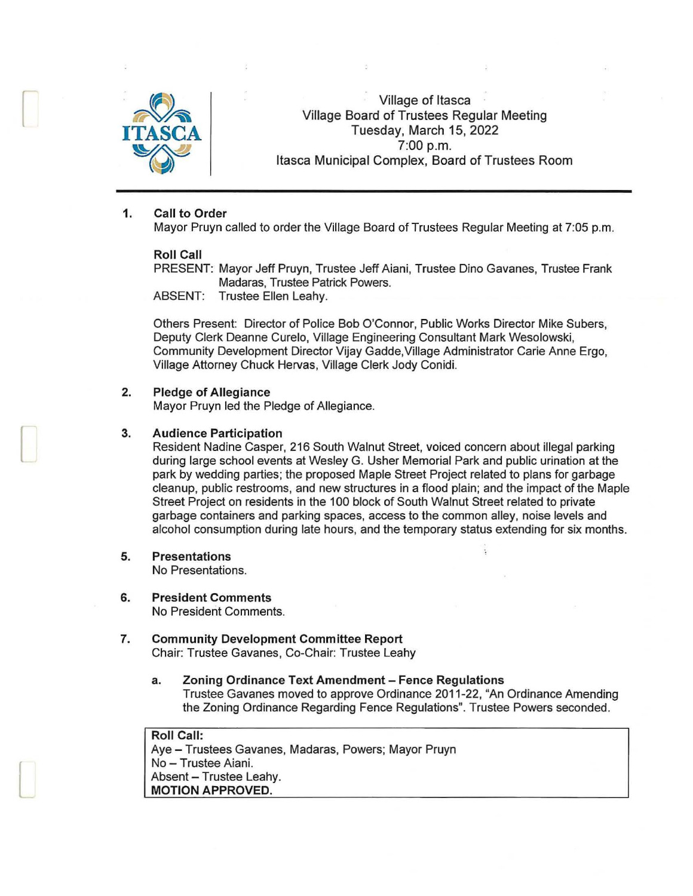

r

 $\blacksquare$ 

l

Village of Itasca Village Board of Trustees Regular Meeting Tuesday, March 15, 2022 ~ 7:00 p.m. Itasca Municipal Complex, Board of Trustees Room

#### **1. Call to Order**

Mayor Pruyn called to order the Village Board of Trustees Regular Meeting at 7:05 p.m.

#### **Roll Call**

PRESENT: Mayor Jeff Pruyn, Trustee Jeff Aiani, Trustee Dino Gavanes, Trustee Frank Madaras, Trustee Patrick Powers.

ABSENT: Trustee Ellen Leahy.

Others Present: Director of Police Bob O'Connor, Public Works Director Mike Subers, Deputy Clerk Deanne Curelo, Village Engineering Consultant Mark Wesolowski, Community Development Director Vijay Gadde, Village Administrator Carie Anne Ergo, Village Attorney Chuck Hervas, Village Clerk Jody Conidi.

#### **2. Pledge of Allegiance**

Mayor Pruyn led the Pledge of Allegiance.

### **3. Audience Participation**

Resident Nadine Casper, 216 South Walnut Street, voiced concern about illegal parking during large school events at Wesley G. Usher Memorial Park and public urination at the park by wedding parties; the proposed Maple Street Project related to plans for garbage cleanup, public restrooms, and new structures in a flood plain; and the impact of the Maple Street Project on residents in the 100 block of South Walnut Street related to private garbage containers and parking spaces, access to the common alley, noise levels and alcohol consumption during late hours, and the temporary status extending for six months.

**5. Presentations** 

No Presentations.

- **6. President Comments**  No President Comments.
- **7. Community Development Committee Report**  Chair: Trustee Gavanes, Co-Chair: Trustee Leahy
	- **a. Zoning Ordinance Text Amendment - Fence Regulations**  Trustee Gavanes moved to approve Ordinance 2011-22, "An Ordinance Amending the Zoning Ordinance Regarding Fence Regulations". Trustee Powers seconded.

**Roll Call:**  Aye - Trustees Gavanes, Madaras, Powers; Mayor Pruyn No - Trustee Aiani. Absent - Trustee Leahy. **MOTION APPROVED.**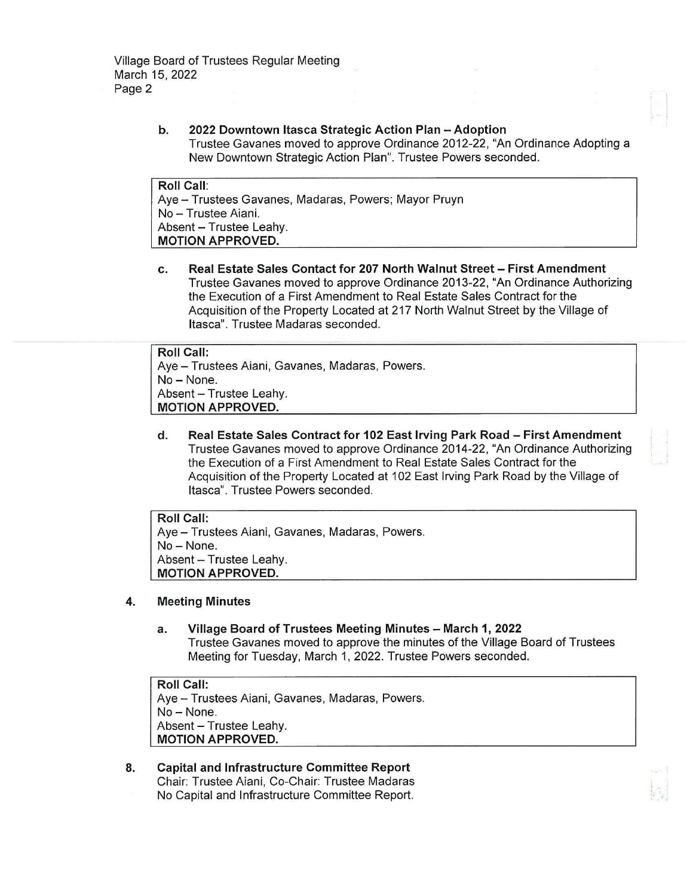## b. 2022 Downtown Itasca Strategic Action Plan - Adoption Trustee Gavanes moved to approve Ordinance 2012-22, "An Ordinance Adopting a New Downtown Strategic Action Plan". Trustee Powers seconded.

Roll Call: Aye - Trustees Gavanes, Madaras, Powers; Mayor Pruyn No - Trustee Aiani. Absent - Trustee Leahv. MOTION APPROVED.

c. Real Estate Sales Contact for 207 North Walnut Street - First Amendment Trustee Gavanes moved to approve Ordinance 2013-22, "An Ordinance Authorizing the Execution of a First Amendment to Real Estate Sales Contract for the Acquisition of the Property Located at 217 North Walnut Street by the Village of Itasca". Trustee Madaras seconded.

# Roll Call: Aye - Trustees Aiani, Gavanes, Madaras, Powers. No-None. Absent - Trustee Leahy. MOTION APPROVED.

d. Real Estate Sales Contract for 102 East Irving Park Road - First Amendment Trustee Gavanes moved to approve Ordinance 2014-22, "An Ordinance Authorizing the Execution of a First Amendment to Real Estate Sales Contract for the Acquisition of the Property Located at 102 East Irving Park Road by the Village of Itasca". Trustee Powers seconded.

Roll Call: Aye - Trustees Aiani, Gavanes, Madaras, Powers. No- None. Absent - Trustee Leahy. MOTION APPROVED.

# 4. Meeting Minutes

a. Village Board of Trustees Meeting Minutes - March 1, 2022 Trustee Gavanes moved to approve the minutes of the Village Board of Trustees Meeting for Tuesday, March 1, 2022. Trustee Powers seconded.

Roll Call: Aye - Trustees Aiani, Gavanes, Madaras, Powers. No-None. Absent - Trustee Leahy. MOTION APPROVED.

8. Capital and Infrastructure Committee Report Chair: Trustee Aiani, Co-Chair: Trustee Madaras No Capital and Infrastructure Committee Report.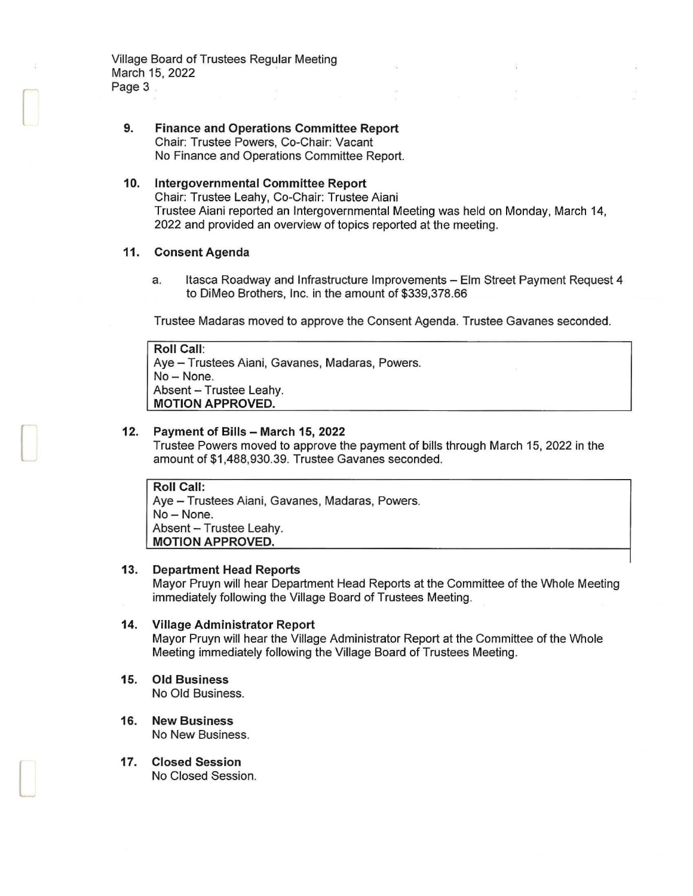Village Board of Trustees Regular Meeting March 15, 2022 Page 3

**9. Finance and Operations Committee Report**  Chair: Trustee Powers, Co-Chair: Vacant No Finance and Operations Committee Report.

### **10. Intergovernmental Committee Report**  Chair: Trustee Leahy, Co-Chair: Trustee Aiani Trustee Aiani reported an Intergovernmental Meeting was held on Monday, March 14, 2022 and provided an overview of topics reported at the meeting.

#### **11 . Consent Agenda**

r

 $\lfloor$ 

l

a. Itasca Roadway and Infrastructure Improvements - Elm Street Payment Request 4 to DiMeo Brothers, Inc. in the amount of \$339,378.66

Trustee Madaras moved to approve the Consent Agenda. Trustee Gavanes seconded.

```
Roll Call: 
Aye - Trustees Aiani, Gavanes, Madaras, Powers.
No - None.
Absent - Trustee Leahy.
MOTION APPROVED.
```
## **12. Payment of Bills - March 15, 2022**

Trustee Powers moved to approve the payment of bills through March 15, 2022 in the amount of \$1 ,488,930.39. Trustee Gavanes seconded.

**Roll Call:**  Aye - Trustees Aiani, Gavanes, Madaras, Powers. No-None. Absent - Trustee Leahy. **MOTION APPROVED.** 

#### **13. Department Head Reports**

Mayor Pruyn will hear Department Head Reports at the Committee of the Whole Meeting immediately following the Village Board of Trustees Meeting.

## **14. Village Administrator Report**  Mayor Pruyn will hear the Village Administrator Report at the Committee of the Whole

- Meeting immediately following the Village Board of Trustees Meeting.
- **15. Old Business**  No Old Business.
- **16. New Business**  No New Business.
- **17. Closed Session**  No Closed Session.